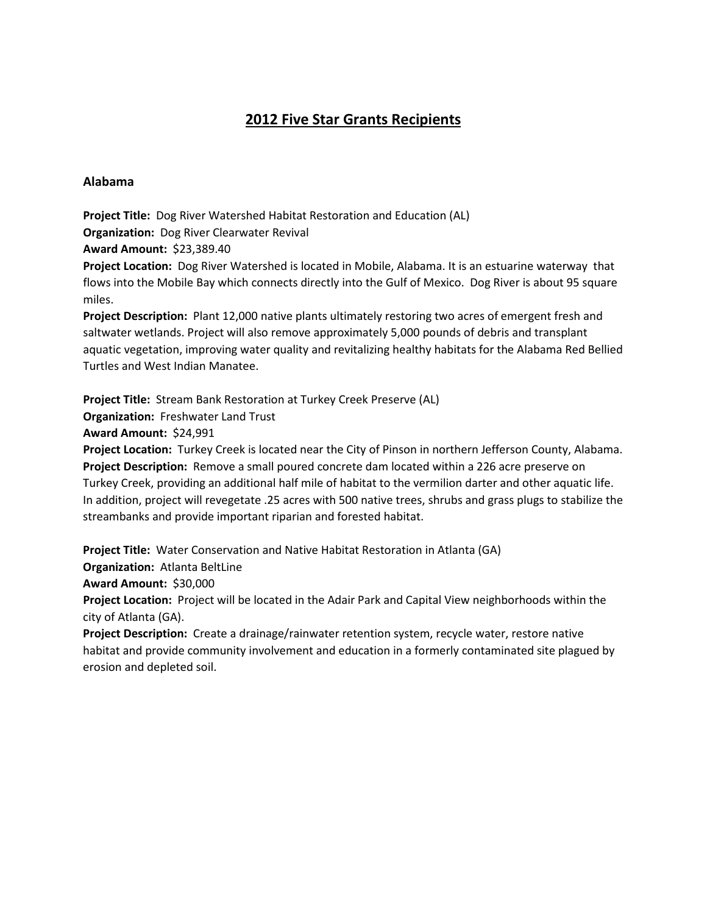# **2012 Five Star Grants Recipients**

## **Alabama**

**Project Title:** Dog River Watershed Habitat Restoration and Education (AL) **Organization:** Dog River Clearwater Revival

**Award Amount:** \$23,389.40

**Project Location:** Dog River Watershed is located in Mobile, Alabama. It is an estuarine waterway that flows into the Mobile Bay which connects directly into the Gulf of Mexico. Dog River is about 95 square miles.

**Project Description:** Plant 12,000 native plants ultimately restoring two acres of emergent fresh and saltwater wetlands. Project will also remove approximately 5,000 pounds of debris and transplant aquatic vegetation, improving water quality and revitalizing healthy habitats for the Alabama Red Bellied Turtles and West Indian Manatee.

**Project Title:** Stream Bank Restoration at Turkey Creek Preserve (AL)

**Organization:** Freshwater Land Trust

**Award Amount:** \$24,991

**Project Location:** Turkey Creek is located near the City of Pinson in northern Jefferson County, Alabama. **Project Description:** Remove a small poured concrete dam located within a 226 acre preserve on Turkey Creek, providing an additional half mile of habitat to the vermilion darter and other aquatic life. In addition, project will revegetate .25 acres with 500 native trees, shrubs and grass plugs to stabilize the streambanks and provide important riparian and forested habitat.

**Project Title:** Water Conservation and Native Habitat Restoration in Atlanta (GA)

**Organization:** Atlanta BeltLine

**Award Amount:** \$30,000

**Project Location:** Project will be located in the Adair Park and Capital View neighborhoods within the city of Atlanta (GA).

**Project Description:** Create a drainage/rainwater retention system, recycle water, restore native habitat and provide community involvement and education in a formerly contaminated site plagued by erosion and depleted soil.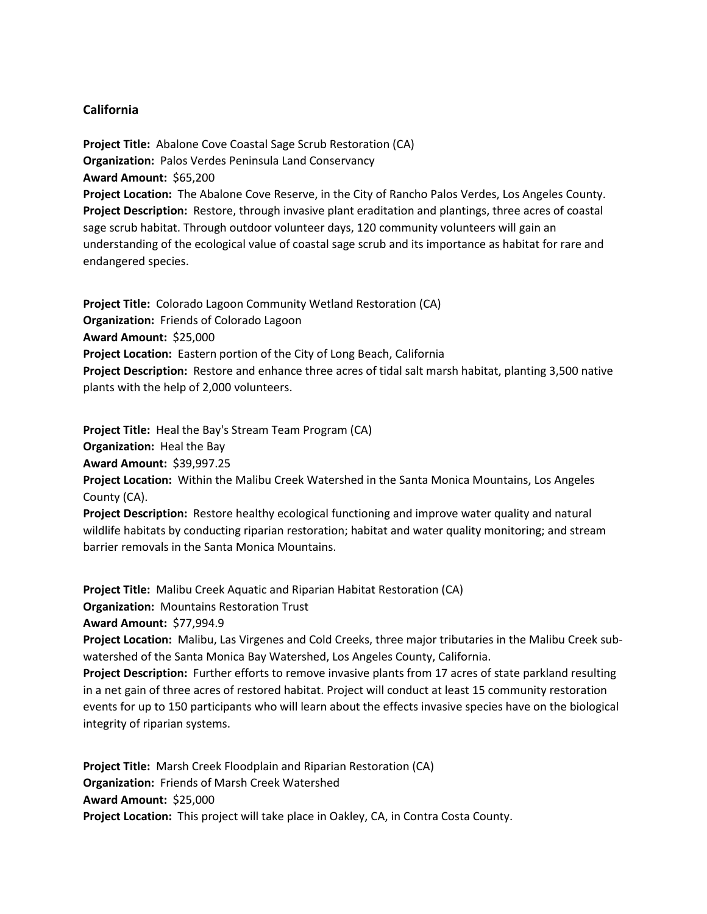## **California**

**Project Title:** Abalone Cove Coastal Sage Scrub Restoration (CA) **Organization:** Palos Verdes Peninsula Land Conservancy **Award Amount:** \$65,200 **Project Location:** The Abalone Cove Reserve, in the City of Rancho Palos Verdes, Los Angeles County. **Project Description:** Restore, through invasive plant eraditation and plantings, three acres of coastal sage scrub habitat. Through outdoor volunteer days, 120 community volunteers will gain an understanding of the ecological value of coastal sage scrub and its importance as habitat for rare and endangered species.

**Project Title:** Colorado Lagoon Community Wetland Restoration (CA) **Organization:** Friends of Colorado Lagoon **Award Amount:** \$25,000 **Project Location:** Eastern portion of the City of Long Beach, California **Project Description:** Restore and enhance three acres of tidal salt marsh habitat, planting 3,500 native plants with the help of 2,000 volunteers.

**Project Title:** Heal the Bay's Stream Team Program (CA) **Organization:** Heal the Bay **Award Amount:** \$39,997.25 **Project Location:** Within the Malibu Creek Watershed in the Santa Monica Mountains, Los Angeles County (CA). **Project Description:** Restore healthy ecological functioning and improve water quality and natural

wildlife habitats by conducting riparian restoration; habitat and water quality monitoring; and stream barrier removals in the Santa Monica Mountains.

**Project Title:** Malibu Creek Aquatic and Riparian Habitat Restoration (CA)

**Organization:** Mountains Restoration Trust

**Award Amount:** \$77,994.9

**Project Location:** Malibu, Las Virgenes and Cold Creeks, three major tributaries in the Malibu Creek subwatershed of the Santa Monica Bay Watershed, Los Angeles County, California.

**Project Description:** Further efforts to remove invasive plants from 17 acres of state parkland resulting in a net gain of three acres of restored habitat. Project will conduct at least 15 community restoration events for up to 150 participants who will learn about the effects invasive species have on the biological integrity of riparian systems.

**Project Title:** Marsh Creek Floodplain and Riparian Restoration (CA) **Organization:** Friends of Marsh Creek Watershed **Award Amount:** \$25,000 **Project Location:** This project will take place in Oakley, CA, in Contra Costa County.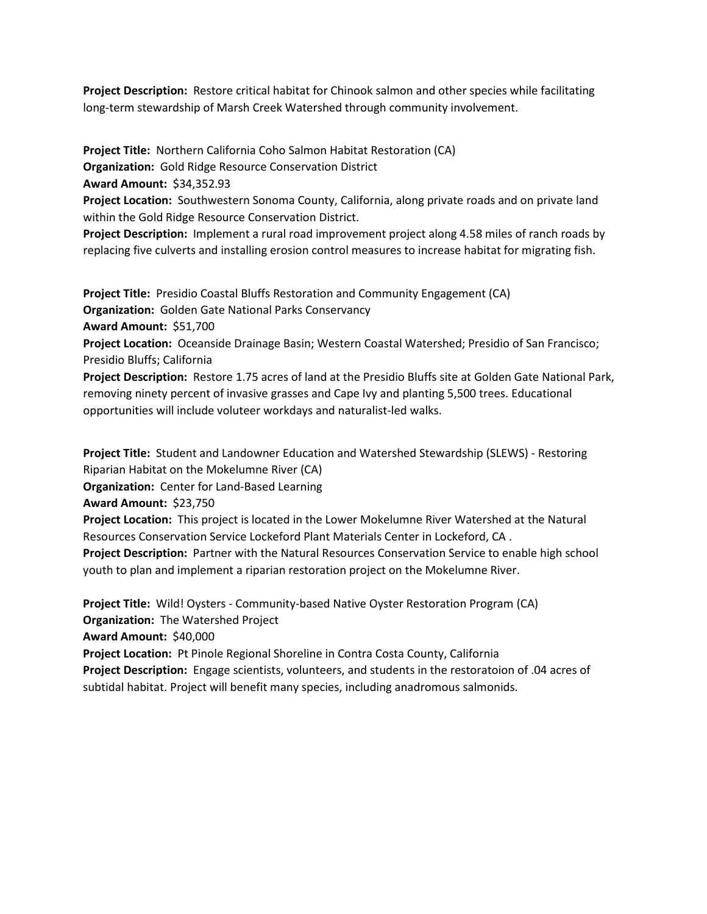**Project Description:** Restore critical habitat for Chinook salmon and other species while facilitating long-term stewardship of Marsh Creek Watershed through community involvement.

**Project Title:** Northern California Coho Salmon Habitat Restoration (CA)

**Organization:** Gold Ridge Resource Conservation District

**Award Amount:** \$34,352.93

**Project Location:** Southwestern Sonoma County, California, along private roads and on private land within the Gold Ridge Resource Conservation District.

**Project Description:** Implement a rural road improvement project along 4.58 miles of ranch roads by replacing five culverts and installing erosion control measures to increase habitat for migrating fish.

**Project Title:** Presidio Coastal Bluffs Restoration and Community Engagement (CA)

**Organization:** Golden Gate National Parks Conservancy

**Award Amount:** \$51,700

**Project Location:** Oceanside Drainage Basin; Western Coastal Watershed; Presidio of San Francisco; Presidio Bluffs; California

**Project Description:** Restore 1.75 acres of land at the Presidio Bluffs site at Golden Gate National Park, removing ninety percent of invasive grasses and Cape Ivy and planting 5,500 trees. Educational opportunities will include voluteer workdays and naturalist-led walks.

**Project Title:** Student and Landowner Education and Watershed Stewardship (SLEWS) - Restoring Riparian Habitat on the Mokelumne River (CA)

**Organization:** Center for Land-Based Learning

**Award Amount:** \$23,750

**Project Location:** This project is located in the Lower Mokelumne River Watershed at the Natural Resources Conservation Service Lockeford Plant Materials Center in Lockeford, CA .

**Project Description:** Partner with the Natural Resources Conservation Service to enable high school youth to plan and implement a riparian restoration project on the Mokelumne River.

**Project Title:** Wild! Oysters - Community-based Native Oyster Restoration Program (CA) **Organization:** The Watershed Project

**Award Amount:** \$40,000

**Project Location:** Pt Pinole Regional Shoreline in Contra Costa County, California

**Project Description:** Engage scientists, volunteers, and students in the restoratoion of .04 acres of subtidal habitat. Project will benefit many species, including anadromous salmonids.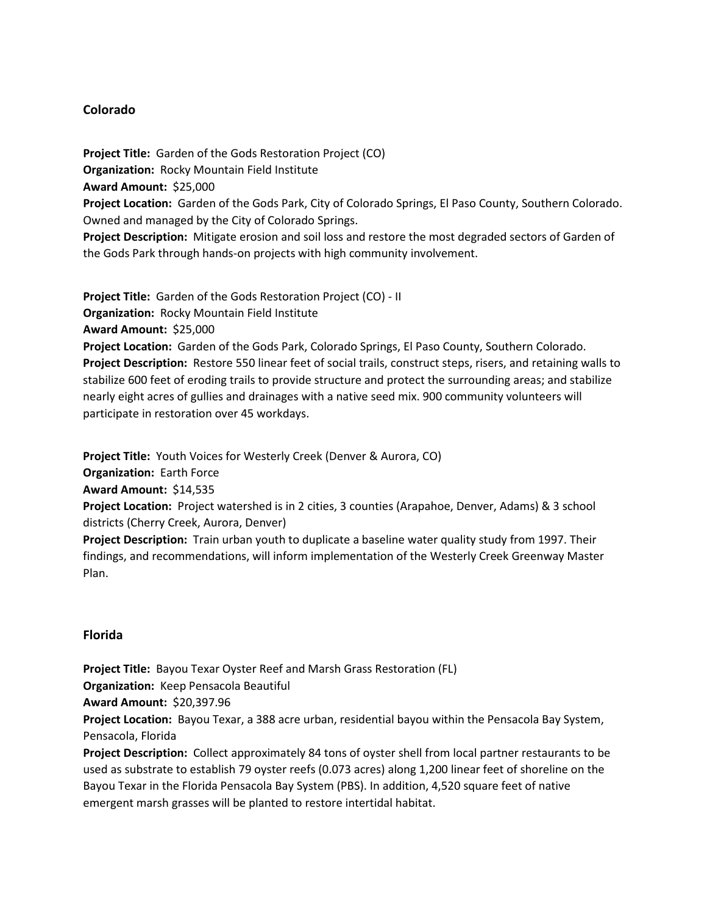# **Colorado**

**Project Title:** Garden of the Gods Restoration Project (CO) **Organization:** Rocky Mountain Field Institute **Award Amount:** \$25,000

**Project Location:** Garden of the Gods Park, City of Colorado Springs, El Paso County, Southern Colorado. Owned and managed by the City of Colorado Springs.

**Project Description:** Mitigate erosion and soil loss and restore the most degraded sectors of Garden of the Gods Park through hands-on projects with high community involvement.

**Project Title:** Garden of the Gods Restoration Project (CO) - II **Organization:** Rocky Mountain Field Institute **Award Amount:** \$25,000 **Project Location:** Garden of the Gods Park, Colorado Springs, El Paso County, Southern Colorado. **Project Description:** Restore 550 linear feet of social trails, construct steps, risers, and retaining walls to stabilize 600 feet of eroding trails to provide structure and protect the surrounding areas; and stabilize

nearly eight acres of gullies and drainages with a native seed mix. 900 community volunteers will participate in restoration over 45 workdays.

**Project Title:** Youth Voices for Westerly Creek (Denver & Aurora, CO)

emergent marsh grasses will be planted to restore intertidal habitat.

**Organization:** Earth Force

**Award Amount:** \$14,535

**Project Location:** Project watershed is in 2 cities, 3 counties (Arapahoe, Denver, Adams) & 3 school districts (Cherry Creek, Aurora, Denver)

**Project Description:** Train urban youth to duplicate a baseline water quality study from 1997. Their findings, and recommendations, will inform implementation of the Westerly Creek Greenway Master Plan.

# **Florida**

**Project Title:** Bayou Texar Oyster Reef and Marsh Grass Restoration (FL) **Organization:** Keep Pensacola Beautiful **Award Amount:** \$20,397.96 **Project Location:** Bayou Texar, a 388 acre urban, residential bayou within the Pensacola Bay System, Pensacola, Florida **Project Description:** Collect approximately 84 tons of oyster shell from local partner restaurants to be used as substrate to establish 79 oyster reefs (0.073 acres) along 1,200 linear feet of shoreline on the Bayou Texar in the Florida Pensacola Bay System (PBS). In addition, 4,520 square feet of native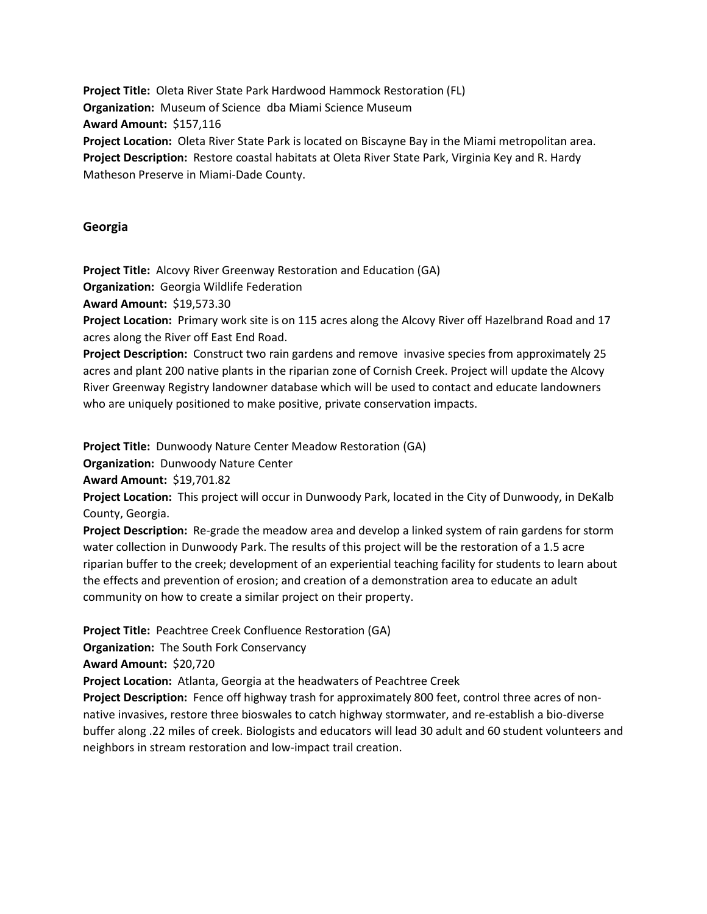**Project Title:** Oleta River State Park Hardwood Hammock Restoration (FL) **Organization:** Museum of Science dba Miami Science Museum **Award Amount:** \$157,116 **Project Location:** Oleta River State Park is located on Biscayne Bay in the Miami metropolitan area. **Project Description:** Restore coastal habitats at Oleta River State Park, Virginia Key and R. Hardy Matheson Preserve in Miami-Dade County.

### **Georgia**

**Project Title:** Alcovy River Greenway Restoration and Education (GA)

**Organization:** Georgia Wildlife Federation

**Award Amount:** \$19,573.30

**Project Location:** Primary work site is on 115 acres along the Alcovy River off Hazelbrand Road and 17 acres along the River off East End Road.

**Project Description:** Construct two rain gardens and remove invasive species from approximately 25 acres and plant 200 native plants in the riparian zone of Cornish Creek. Project will update the Alcovy River Greenway Registry landowner database which will be used to contact and educate landowners who are uniquely positioned to make positive, private conservation impacts.

**Project Title:** Dunwoody Nature Center Meadow Restoration (GA)

**Organization:** Dunwoody Nature Center

**Award Amount:** \$19,701.82

**Project Location:** This project will occur in Dunwoody Park, located in the City of Dunwoody, in DeKalb County, Georgia.

**Project Description:** Re-grade the meadow area and develop a linked system of rain gardens for storm water collection in Dunwoody Park. The results of this project will be the restoration of a 1.5 acre riparian buffer to the creek; development of an experiential teaching facility for students to learn about the effects and prevention of erosion; and creation of a demonstration area to educate an adult community on how to create a similar project on their property.

**Project Title:** Peachtree Creek Confluence Restoration (GA)

**Organization:** The South Fork Conservancy

**Award Amount:** \$20,720

**Project Location:** Atlanta, Georgia at the headwaters of Peachtree Creek

**Project Description:** Fence off highway trash for approximately 800 feet, control three acres of nonnative invasives, restore three bioswales to catch highway stormwater, and re-establish a bio-diverse buffer along .22 miles of creek. Biologists and educators will lead 30 adult and 60 student volunteers and neighbors in stream restoration and low-impact trail creation.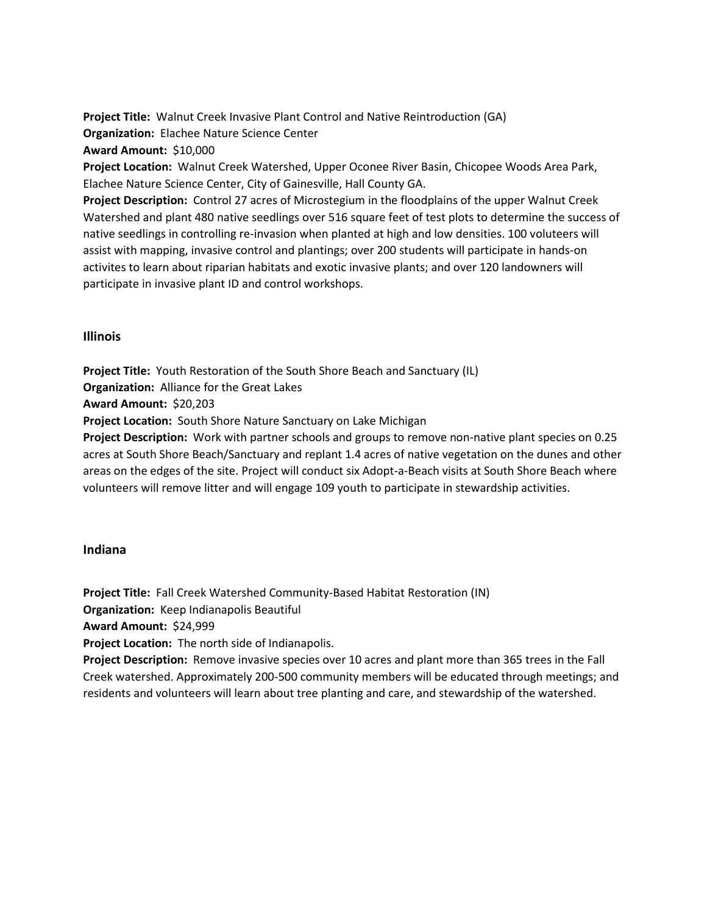**Project Title:** Walnut Creek Invasive Plant Control and Native Reintroduction (GA) **Organization:** Elachee Nature Science Center **Award Amount:** \$10,000

**Project Location:** Walnut Creek Watershed, Upper Oconee River Basin, Chicopee Woods Area Park, Elachee Nature Science Center, City of Gainesville, Hall County GA.

**Project Description:** Control 27 acres of Microstegium in the floodplains of the upper Walnut Creek Watershed and plant 480 native seedlings over 516 square feet of test plots to determine the success of native seedlings in controlling re-invasion when planted at high and low densities. 100 voluteers will assist with mapping, invasive control and plantings; over 200 students will participate in hands-on activites to learn about riparian habitats and exotic invasive plants; and over 120 landowners will participate in invasive plant ID and control workshops.

### **Illinois**

**Project Title:** Youth Restoration of the South Shore Beach and Sanctuary (IL) **Organization:** Alliance for the Great Lakes **Award Amount:** \$20,203 **Project Location:** South Shore Nature Sanctuary on Lake Michigan **Project Description:** Work with partner schools and groups to remove non-native plant species on 0.25

acres at South Shore Beach/Sanctuary and replant 1.4 acres of native vegetation on the dunes and other areas on the edges of the site. Project will conduct six Adopt-a-Beach visits at South Shore Beach where volunteers will remove litter and will engage 109 youth to participate in stewardship activities.

### **Indiana**

**Project Title:** Fall Creek Watershed Community-Based Habitat Restoration (IN)

**Organization:** Keep Indianapolis Beautiful

**Award Amount:** \$24,999

**Project Location:** The north side of Indianapolis.

**Project Description:** Remove invasive species over 10 acres and plant more than 365 trees in the Fall Creek watershed. Approximately 200-500 community members will be educated through meetings; and residents and volunteers will learn about tree planting and care, and stewardship of the watershed.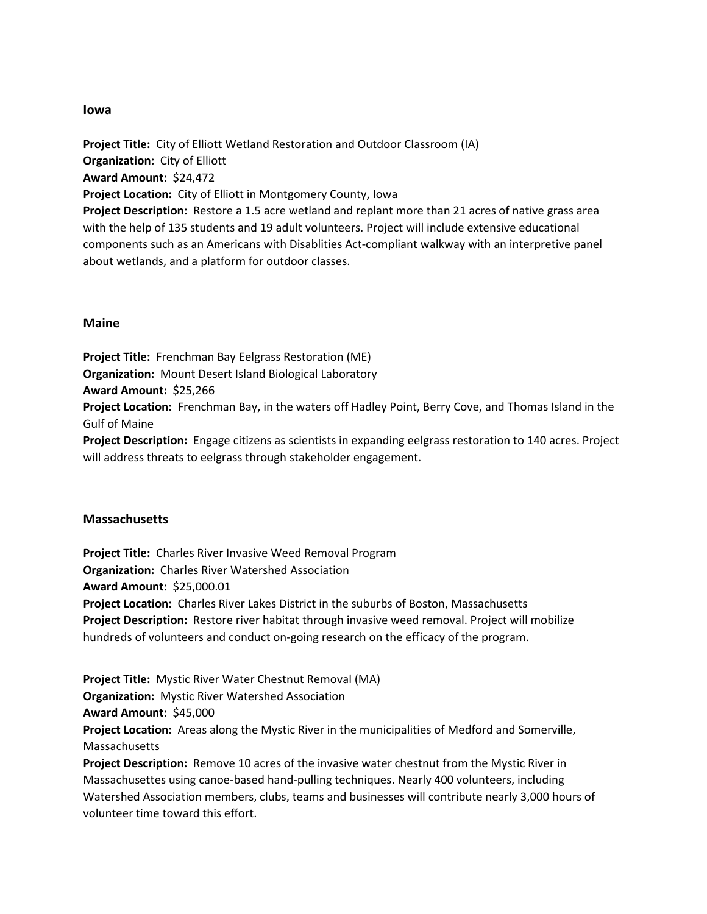#### **Iowa**

**Project Title:** City of Elliott Wetland Restoration and Outdoor Classroom (IA) **Organization:** City of Elliott **Award Amount:** \$24,472 **Project Location:** City of Elliott in Montgomery County, Iowa **Project Description:** Restore a 1.5 acre wetland and replant more than 21 acres of native grass area with the help of 135 students and 19 adult volunteers. Project will include extensive educational components such as an Americans with Disablities Act-compliant walkway with an interpretive panel about wetlands, and a platform for outdoor classes.

#### **Maine**

**Project Title:** Frenchman Bay Eelgrass Restoration (ME) **Organization:** Mount Desert Island Biological Laboratory **Award Amount:** \$25,266 **Project Location:** Frenchman Bay, in the waters off Hadley Point, Berry Cove, and Thomas Island in the Gulf of Maine **Project Description:** Engage citizens as scientists in expanding eelgrass restoration to 140 acres. Project

will address threats to eelgrass through stakeholder engagement.

#### **Massachusetts**

**Project Title:** Charles River Invasive Weed Removal Program **Organization:** Charles River Watershed Association **Award Amount:** \$25,000.01 **Project Location:** Charles River Lakes District in the suburbs of Boston, Massachusetts **Project Description:** Restore river habitat through invasive weed removal. Project will mobilize hundreds of volunteers and conduct on-going research on the efficacy of the program.

**Project Title:** Mystic River Water Chestnut Removal (MA) **Organization:** Mystic River Watershed Association **Award Amount:** \$45,000 **Project Location:** Areas along the Mystic River in the municipalities of Medford and Somerville, Massachusetts **Project Description:** Remove 10 acres of the invasive water chestnut from the Mystic River in

Massachusettes using canoe-based hand-pulling techniques. Nearly 400 volunteers, including Watershed Association members, clubs, teams and businesses will contribute nearly 3,000 hours of volunteer time toward this effort.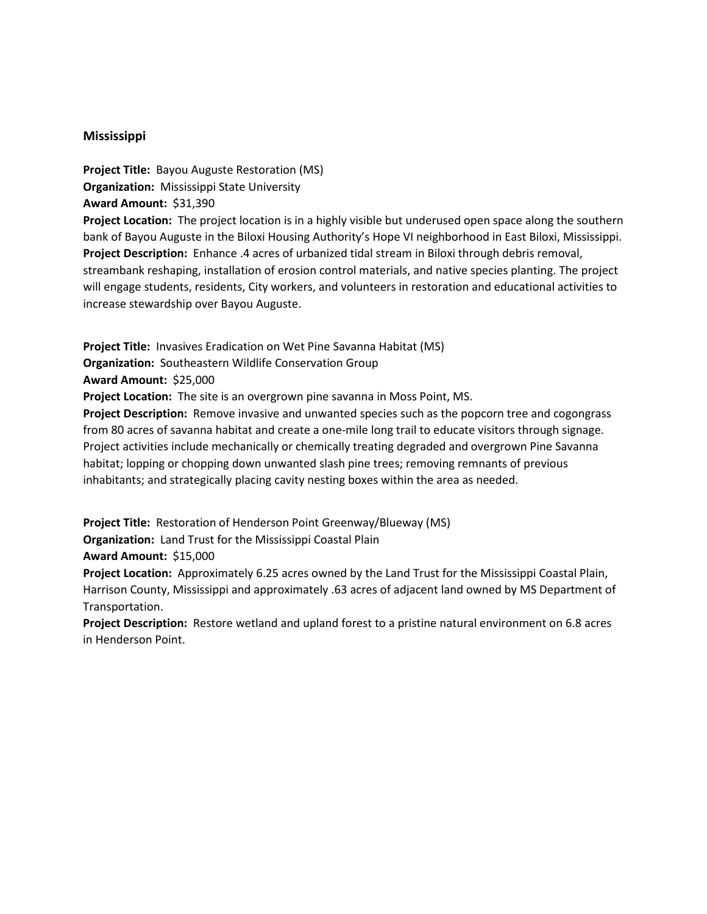## **Mississippi**

**Project Title:** Bayou Auguste Restoration (MS) **Organization:** Mississippi State University **Award Amount:** \$31,390 **Project Location:** The project location is in a highly visible but underused open space along the southern bank of Bayou Auguste in the Biloxi Housing Authority's Hope VI neighborhood in East Biloxi, Mississippi. **Project Description:** Enhance .4 acres of urbanized tidal stream in Biloxi through debris removal, streambank reshaping, installation of erosion control materials, and native species planting. The project will engage students, residents, City workers, and volunteers in restoration and educational activities to increase stewardship over Bayou Auguste.

**Project Title:** Invasives Eradication on Wet Pine Savanna Habitat (MS)

**Organization:** Southeastern Wildlife Conservation Group

**Award Amount:** \$25,000

**Project Location:** The site is an overgrown pine savanna in Moss Point, MS.

**Project Description:** Remove invasive and unwanted species such as the popcorn tree and cogongrass from 80 acres of savanna habitat and create a one-mile long trail to educate visitors through signage. Project activities include mechanically or chemically treating degraded and overgrown Pine Savanna habitat; lopping or chopping down unwanted slash pine trees; removing remnants of previous inhabitants; and strategically placing cavity nesting boxes within the area as needed.

**Project Title:** Restoration of Henderson Point Greenway/Blueway (MS)

**Organization:** Land Trust for the Mississippi Coastal Plain

**Award Amount:** \$15,000

**Project Location:** Approximately 6.25 acres owned by the Land Trust for the Mississippi Coastal Plain, Harrison County, Mississippi and approximately .63 acres of adjacent land owned by MS Department of Transportation.

**Project Description:** Restore wetland and upland forest to a pristine natural environment on 6.8 acres in Henderson Point.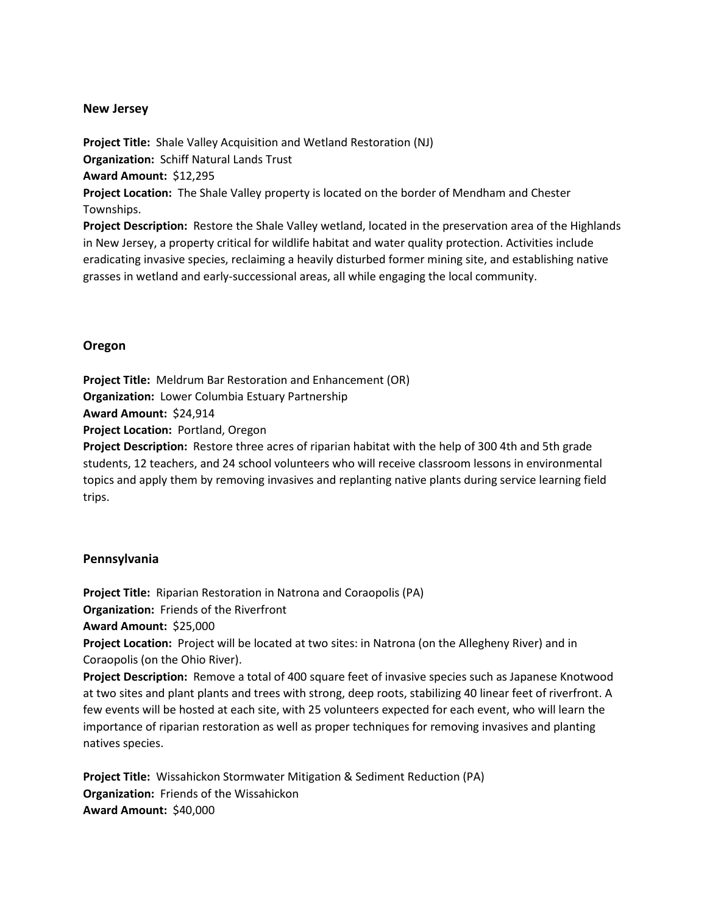## **New Jersey**

**Project Title:** Shale Valley Acquisition and Wetland Restoration (NJ) **Organization:** Schiff Natural Lands Trust **Award Amount:** \$12,295 **Project Location:** The Shale Valley property is located on the border of Mendham and Chester Townships.

**Project Description:** Restore the Shale Valley wetland, located in the preservation area of the Highlands in New Jersey, a property critical for wildlife habitat and water quality protection. Activities include eradicating invasive species, reclaiming a heavily disturbed former mining site, and establishing native grasses in wetland and early-successional areas, all while engaging the local community.

# **Oregon**

**Project Title:** Meldrum Bar Restoration and Enhancement (OR)

**Organization:** Lower Columbia Estuary Partnership

**Award Amount:** \$24,914

**Project Location:** Portland, Oregon

**Project Description:** Restore three acres of riparian habitat with the help of 300 4th and 5th grade students, 12 teachers, and 24 school volunteers who will receive classroom lessons in environmental topics and apply them by removing invasives and replanting native plants during service learning field trips.

# **Pennsylvania**

**Project Title:** Riparian Restoration in Natrona and Coraopolis (PA)

**Organization:** Friends of the Riverfront

**Award Amount:** \$25,000

**Project Location:** Project will be located at two sites: in Natrona (on the Allegheny River) and in Coraopolis (on the Ohio River).

**Project Description:** Remove a total of 400 square feet of invasive species such as Japanese Knotwood at two sites and plant plants and trees with strong, deep roots, stabilizing 40 linear feet of riverfront. A few events will be hosted at each site, with 25 volunteers expected for each event, who will learn the importance of riparian restoration as well as proper techniques for removing invasives and planting natives species.

**Project Title:** Wissahickon Stormwater Mitigation & Sediment Reduction (PA) **Organization:** Friends of the Wissahickon **Award Amount:** \$40,000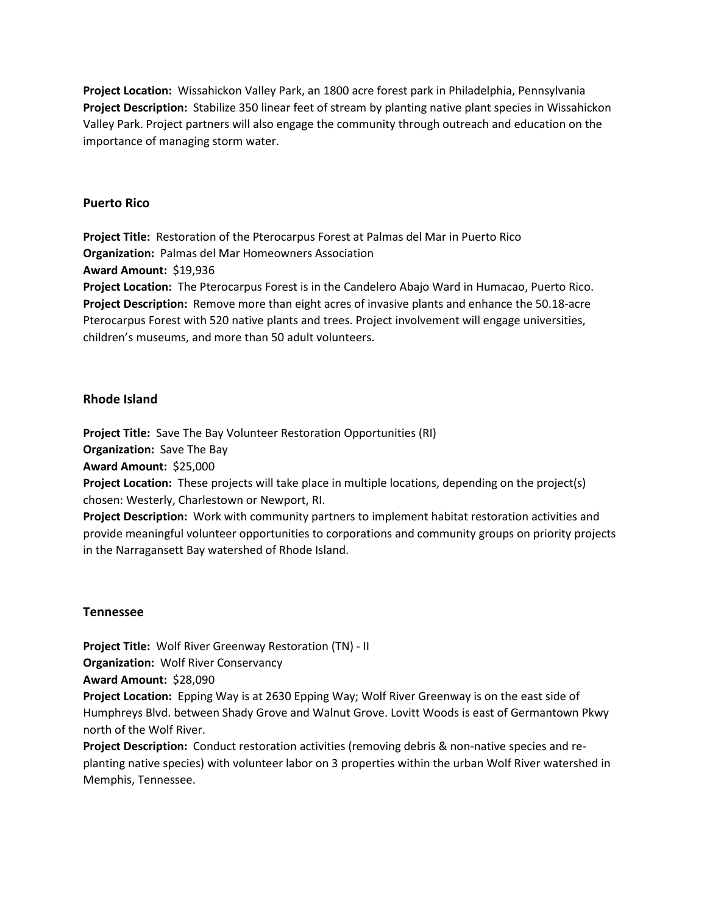**Project Location:** Wissahickon Valley Park, an 1800 acre forest park in Philadelphia, Pennsylvania **Project Description:** Stabilize 350 linear feet of stream by planting native plant species in Wissahickon Valley Park. Project partners will also engage the community through outreach and education on the importance of managing storm water.

## **Puerto Rico**

**Project Title:** Restoration of the Pterocarpus Forest at Palmas del Mar in Puerto Rico **Organization:** Palmas del Mar Homeowners Association **Award Amount:** \$19,936 **Project Location:** The Pterocarpus Forest is in the Candelero Abajo Ward in Humacao, Puerto Rico. **Project Description:** Remove more than eight acres of invasive plants and enhance the 50.18-acre Pterocarpus Forest with 520 native plants and trees. Project involvement will engage universities, children's museums, and more than 50 adult volunteers.

### **Rhode Island**

**Project Title:** Save The Bay Volunteer Restoration Opportunities (RI)

**Organization:** Save The Bay

**Award Amount:** \$25,000

**Project Location:** These projects will take place in multiple locations, depending on the project(s) chosen: Westerly, Charlestown or Newport, RI.

**Project Description:** Work with community partners to implement habitat restoration activities and provide meaningful volunteer opportunities to corporations and community groups on priority projects in the Narragansett Bay watershed of Rhode Island.

### **Tennessee**

**Project Title:** Wolf River Greenway Restoration (TN) - II

**Organization:** Wolf River Conservancy

**Award Amount:** \$28,090

**Project Location:** Epping Way is at 2630 Epping Way; Wolf River Greenway is on the east side of Humphreys Blvd. between Shady Grove and Walnut Grove. Lovitt Woods is east of Germantown Pkwy north of the Wolf River.

**Project Description:** Conduct restoration activities (removing debris & non-native species and replanting native species) with volunteer labor on 3 properties within the urban Wolf River watershed in Memphis, Tennessee.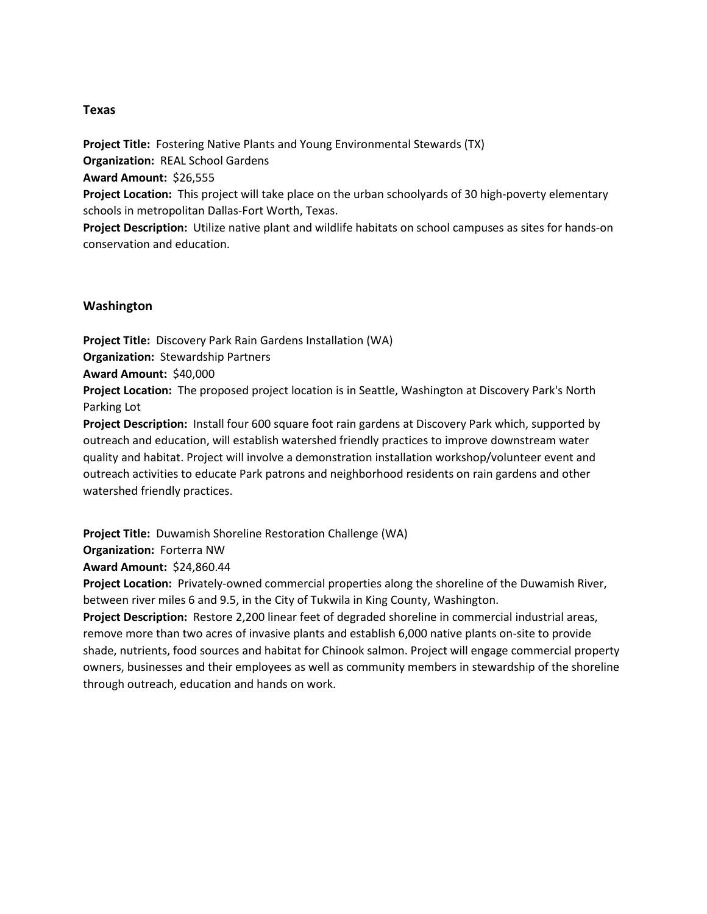## **Texas**

**Project Title:** Fostering Native Plants and Young Environmental Stewards (TX) **Organization:** REAL School Gardens **Award Amount:** \$26,555

**Project Location:** This project will take place on the urban schoolyards of 30 high-poverty elementary schools in metropolitan Dallas-Fort Worth, Texas.

**Project Description:** Utilize native plant and wildlife habitats on school campuses as sites for hands-on conservation and education.

## **Washington**

**Project Title:** Discovery Park Rain Gardens Installation (WA) **Organization:** Stewardship Partners **Award Amount:** \$40,000 **Project Location:** The proposed project location is in Seattle, Washington at Discovery Park's North Parking Lot **Project Description:** Install four 600 square foot rain gardens at Discovery Park which, supported by

outreach and education, will establish watershed friendly practices to improve downstream water quality and habitat. Project will involve a demonstration installation workshop/volunteer event and outreach activities to educate Park patrons and neighborhood residents on rain gardens and other watershed friendly practices.

**Project Title:** Duwamish Shoreline Restoration Challenge (WA)

**Organization:** Forterra NW

**Award Amount:** \$24,860.44

**Project Location:** Privately-owned commercial properties along the shoreline of the Duwamish River, between river miles 6 and 9.5, in the City of Tukwila in King County, Washington.

**Project Description:** Restore 2,200 linear feet of degraded shoreline in commercial industrial areas, remove more than two acres of invasive plants and establish 6,000 native plants on-site to provide shade, nutrients, food sources and habitat for Chinook salmon. Project will engage commercial property owners, businesses and their employees as well as community members in stewardship of the shoreline through outreach, education and hands on work.